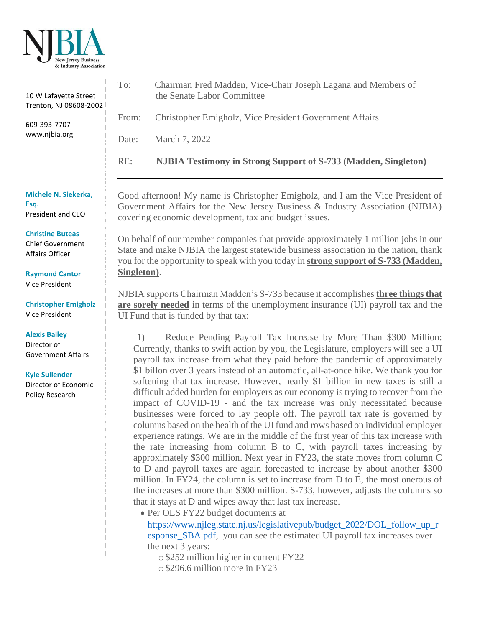

| To:                                                                                                                                                                                                                                                                                                                                                                                                                                                                                                                   |                                                                                                                                                                                                                                                                                                                                                                                                                          |
|-----------------------------------------------------------------------------------------------------------------------------------------------------------------------------------------------------------------------------------------------------------------------------------------------------------------------------------------------------------------------------------------------------------------------------------------------------------------------------------------------------------------------|--------------------------------------------------------------------------------------------------------------------------------------------------------------------------------------------------------------------------------------------------------------------------------------------------------------------------------------------------------------------------------------------------------------------------|
|                                                                                                                                                                                                                                                                                                                                                                                                                                                                                                                       | Chairman Fred Madden, Vice-Chair Joseph Lagana and Members of<br>the Senate Labor Committee                                                                                                                                                                                                                                                                                                                              |
| From:                                                                                                                                                                                                                                                                                                                                                                                                                                                                                                                 | Christopher Emigholz, Vice President Government Affairs                                                                                                                                                                                                                                                                                                                                                                  |
| Date:                                                                                                                                                                                                                                                                                                                                                                                                                                                                                                                 | March 7, 2022                                                                                                                                                                                                                                                                                                                                                                                                            |
| RE:                                                                                                                                                                                                                                                                                                                                                                                                                                                                                                                   | <b>NJBIA Testimony in Strong Support of S-733 (Madden, Singleton)</b>                                                                                                                                                                                                                                                                                                                                                    |
| Good afternoon! My name is Christopher Emigholz, and I am the Vice President of<br>Government Affairs for the New Jersey Business & Industry Association (NJBIA)<br>covering economic development, tax and budget issues.<br>On behalf of our member companies that provide approximately 1 million jobs in our<br>State and make NJBIA the largest statewide business association in the nation, thank<br>you for the opportunity to speak with you today in <b>strong support of S-733 (Madden</b> ,<br>Singleton). |                                                                                                                                                                                                                                                                                                                                                                                                                          |
|                                                                                                                                                                                                                                                                                                                                                                                                                                                                                                                       |                                                                                                                                                                                                                                                                                                                                                                                                                          |
| 1)                                                                                                                                                                                                                                                                                                                                                                                                                                                                                                                    | Reduce Pending Payroll Tax Increase by More Than \$300 Million:<br>Currently, thanks to swift action by you, the Legislature, employers will see a UI<br>payroll tax increase from what they paid before the pandemic of approximately                                                                                                                                                                                   |
|                                                                                                                                                                                                                                                                                                                                                                                                                                                                                                                       | \$1 billon over 3 years instead of an automatic, all-at-once hike. We thank you for<br>softening that tax increase. However, nearly \$1 billion in new taxes is still a<br>difficult added burden for employers as our economy is trying to recover from the<br>impact of COVID-19 - and the tax increase was only necessitated because<br>businesses were forced to lay people off. The payroll tax rate is governed by |
|                                                                                                                                                                                                                                                                                                                                                                                                                                                                                                                       |                                                                                                                                                                                                                                                                                                                                                                                                                          |

• Per OLS FY22 budget documents at [https://www.njleg.state.nj.us/legislativepub/budget\\_2022/DOL\\_follow\\_up\\_r](https://www.njleg.state.nj.us/legislativepub/budget_2022/DOL_follow_up_response_SBA.pdf) [esponse\\_SBA.pdf,](https://www.njleg.state.nj.us/legislativepub/budget_2022/DOL_follow_up_response_SBA.pdf) you can see the estimated UI payroll tax increases over the next 3 years:

columns based on the health of the UI fund and rows based on individual employer experience ratings. We are in the middle of the first year of this tax increase with the rate increasing from column B to C, with payroll taxes increasing by approximately \$300 million. Next year in FY23, the state moves from column C to D and payroll taxes are again forecasted to increase by about another \$300 million. In FY24, the column is set to increase from D to E, the most onerous of the increases at more than \$300 million. S-733, however, adjusts the columns so

o \$252 million higher in current FY22

that it stays at D and wipes away that last tax increase.

o \$296.6 million more in FY23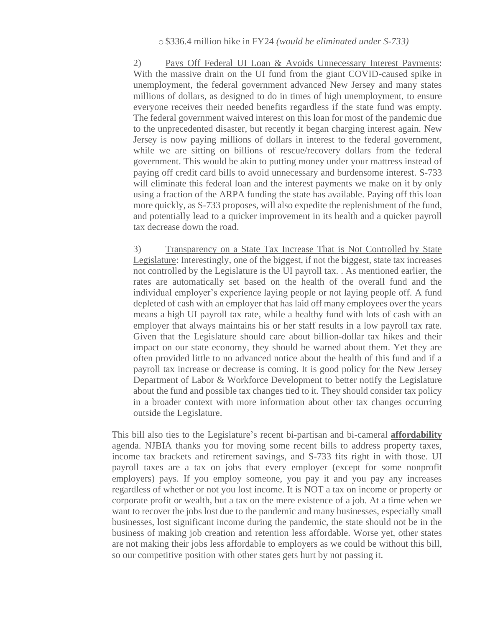2) Pays Off Federal UI Loan & Avoids Unnecessary Interest Payments: With the massive drain on the UI fund from the giant COVID-caused spike in unemployment, the federal government advanced New Jersey and many states millions of dollars, as designed to do in times of high unemployment, to ensure everyone receives their needed benefits regardless if the state fund was empty. The federal government waived interest on this loan for most of the pandemic due to the unprecedented disaster, but recently it began charging interest again. New Jersey is now paying millions of dollars in interest to the federal government, while we are sitting on billions of rescue/recovery dollars from the federal government. This would be akin to putting money under your mattress instead of paying off credit card bills to avoid unnecessary and burdensome interest. S-733 will eliminate this federal loan and the interest payments we make on it by only using a fraction of the ARPA funding the state has available. Paying off this loan more quickly, as S-733 proposes, will also expedite the replenishment of the fund, and potentially lead to a quicker improvement in its health and a quicker payroll tax decrease down the road.

3) Transparency on a State Tax Increase That is Not Controlled by State Legislature: Interestingly, one of the biggest, if not the biggest, state tax increases not controlled by the Legislature is the UI payroll tax. . As mentioned earlier, the rates are automatically set based on the health of the overall fund and the individual employer's experience laying people or not laying people off. A fund depleted of cash with an employer that has laid off many employees over the years means a high UI payroll tax rate, while a healthy fund with lots of cash with an employer that always maintains his or her staff results in a low payroll tax rate. Given that the Legislature should care about billion-dollar tax hikes and their impact on our state economy, they should be warned about them. Yet they are often provided little to no advanced notice about the health of this fund and if a payroll tax increase or decrease is coming. It is good policy for the New Jersey Department of Labor & Workforce Development to better notify the Legislature about the fund and possible tax changes tied to it. They should consider tax policy in a broader context with more information about other tax changes occurring outside the Legislature.

This bill also ties to the Legislature's recent bi-partisan and bi-cameral **affordability** agenda. NJBIA thanks you for moving some recent bills to address property taxes, income tax brackets and retirement savings, and S-733 fits right in with those. UI payroll taxes are a tax on jobs that every employer (except for some nonprofit employers) pays. If you employ someone, you pay it and you pay any increases regardless of whether or not you lost income. It is NOT a tax on income or property or corporate profit or wealth, but a tax on the mere existence of a job. At a time when we want to recover the jobs lost due to the pandemic and many businesses, especially small businesses, lost significant income during the pandemic, the state should not be in the business of making job creation and retention less affordable. Worse yet, other states are not making their jobs less affordable to employers as we could be without this bill, so our competitive position with other states gets hurt by not passing it.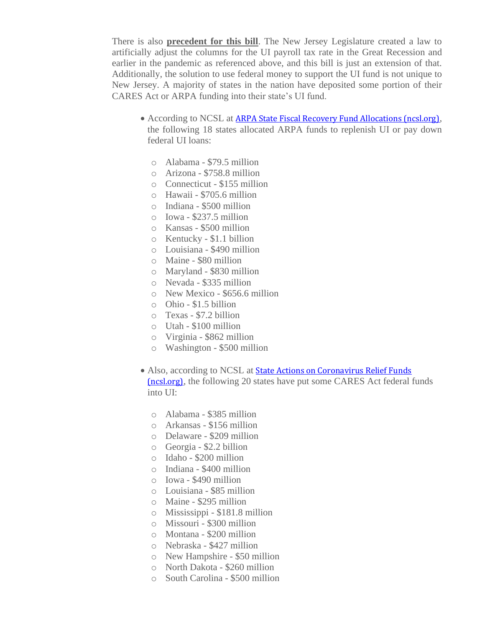There is also **precedent for this bill**. The New Jersey Legislature created a law to artificially adjust the columns for the UI payroll tax rate in the Great Recession and earlier in the pandemic as referenced above, and this bill is just an extension of that. Additionally, the solution to use federal money to support the UI fund is not unique to New Jersey. A majority of states in the nation have deposited some portion of their CARES Act or ARPA funding into their state's UI fund.

- According to NCSL at [ARPA State Fiscal Recovery Fund Allocations \(ncsl.org\)](https://www.ncsl.org/research/fiscal-policy/arpa-state-fiscal-recovery-fund-allocations.aspx), the following 18 states allocated ARPA funds to replenish UI or pay down federal UI loans:
	- o Alabama \$79.5 million
	- o Arizona \$758.8 million
	- o Connecticut \$155 million
	- o Hawaii \$705.6 million
	- o Indiana \$500 million
	- $\circ$  Iowa \$237.5 million
	- o Kansas \$500 million
	- o Kentucky \$1.1 billion
	- o Louisiana \$490 million
	- o Maine \$80 million
	- o Maryland \$830 million
	- o Nevada \$335 million
	- o New Mexico \$656.6 million
	- o Ohio \$1.5 billion
	- o Texas \$7.2 billion
	- o Utah \$100 million
	- o Virginia \$862 million
	- o Washington \$500 million
- Also, according to NCSL at **State Actions on Coronavirus Relief Funds** [\(ncsl.org\)](https://www.ncsl.org/research/fiscal-policy/state-actions-on-coronavirus-relief-funds.aspx), the following 20 states have put some CARES Act federal funds into UI:
	- o Alabama \$385 million
	- o Arkansas \$156 million
	- o Delaware \$209 million
	- o Georgia \$2.2 billion
	- o Idaho \$200 million
	- o Indiana \$400 million
	- o Iowa \$490 million
	- o Louisiana \$85 million
	- o Maine \$295 million
	- o Mississippi \$181.8 million
	- o Missouri \$300 million
	- o Montana \$200 million
	- o Nebraska \$427 million
	- o New Hampshire \$50 million
	- o North Dakota \$260 million
	- o South Carolina \$500 million